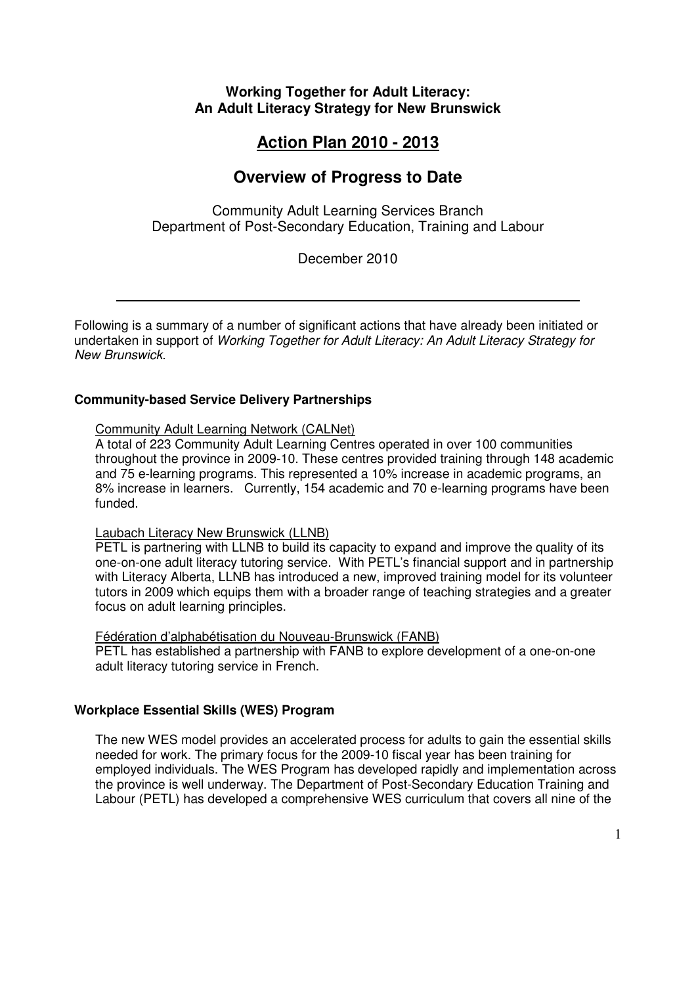# **Working Together for Adult Literacy: An Adult Literacy Strategy for New Brunswick**

# **Action Plan 2010 - 2013**

# **Overview of Progress to Date**

Community Adult Learning Services Branch Department of Post-Secondary Education, Training and Labour

December 2010

Following is a summary of a number of significant actions that have already been initiated or undertaken in support of Working Together for Adult Literacy: An Adult Literacy Strategy for New Brunswick.

## **Community-based Service Delivery Partnerships**

#### Community Adult Learning Network (CALNet)

A total of 223 Community Adult Learning Centres operated in over 100 communities throughout the province in 2009-10. These centres provided training through 148 academic and 75 e-learning programs. This represented a 10% increase in academic programs, an 8% increase in learners. Currently, 154 academic and 70 e-learning programs have been funded.

#### Laubach Literacy New Brunswick (LLNB)

PETL is partnering with LLNB to build its capacity to expand and improve the quality of its one-on-one adult literacy tutoring service. With PETL's financial support and in partnership with Literacy Alberta, LLNB has introduced a new, improved training model for its volunteer tutors in 2009 which equips them with a broader range of teaching strategies and a greater focus on adult learning principles.

#### Fédération d'alphabétisation du Nouveau-Brunswick (FANB)

PETL has established a partnership with FANB to explore development of a one-on-one adult literacy tutoring service in French.

#### **Workplace Essential Skills (WES) Program**

The new WES model provides an accelerated process for adults to gain the essential skills needed for work. The primary focus for the 2009-10 fiscal year has been training for employed individuals. The WES Program has developed rapidly and implementation across the province is well underway. The Department of Post-Secondary Education Training and Labour (PETL) has developed a comprehensive WES curriculum that covers all nine of the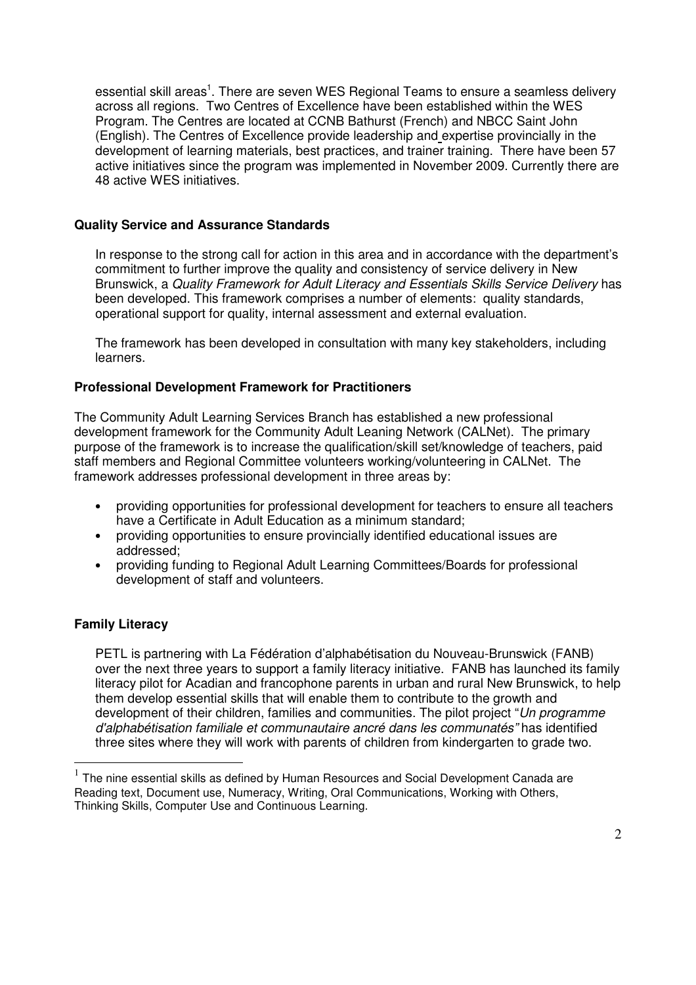essential skill areas<sup>1</sup>. There are seven WES Regional Teams to ensure a seamless delivery across all regions. Two Centres of Excellence have been established within the WES Program. The Centres are located at CCNB Bathurst (French) and NBCC Saint John (English). The Centres of Excellence provide leadership and expertise provincially in the development of learning materials, best practices, and trainer training. There have been 57 active initiatives since the program was implemented in November 2009. Currently there are 48 active WES initiatives.

### **Quality Service and Assurance Standards**

In response to the strong call for action in this area and in accordance with the department's commitment to further improve the quality and consistency of service delivery in New Brunswick, a Quality Framework for Adult Literacy and Essentials Skills Service Delivery has been developed. This framework comprises a number of elements: quality standards, operational support for quality, internal assessment and external evaluation.

The framework has been developed in consultation with many key stakeholders, including learners.

## **Professional Development Framework for Practitioners**

The Community Adult Learning Services Branch has established a new professional development framework for the Community Adult Leaning Network (CALNet). The primary purpose of the framework is to increase the qualification/skill set/knowledge of teachers, paid staff members and Regional Committee volunteers working/volunteering in CALNet. The framework addresses professional development in three areas by:

- providing opportunities for professional development for teachers to ensure all teachers have a Certificate in Adult Education as a minimum standard;
- providing opportunities to ensure provincially identified educational issues are addressed;
- providing funding to Regional Adult Learning Committees/Boards for professional development of staff and volunteers.

## **Family Literacy**

 $\overline{a}$ 

PETL is partnering with La Fédération d'alphabétisation du Nouveau-Brunswick (FANB) over the next three years to support a family literacy initiative. FANB has launched its family literacy pilot for Acadian and francophone parents in urban and rural New Brunswick, to help them develop essential skills that will enable them to contribute to the growth and development of their children, families and communities. The pilot project "Un programme d'alphabétisation familiale et communautaire ancré dans les communatés" has identified three sites where they will work with parents of children from kindergarten to grade two.

 $1$  The nine essential skills as defined by Human Resources and Social Development Canada are Reading text, Document use, Numeracy, Writing, Oral Communications, Working with Others, Thinking Skills, Computer Use and Continuous Learning.